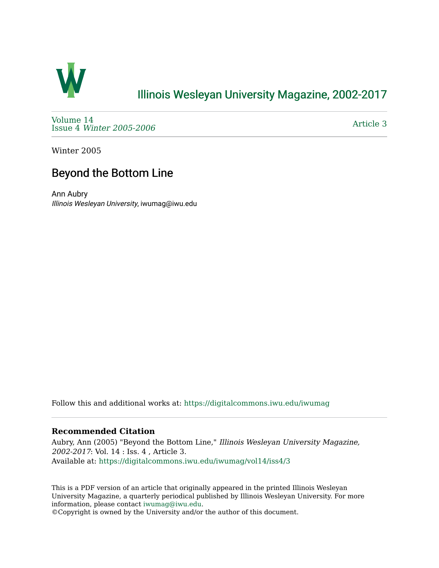

## [Illinois Wesleyan University Magazine, 2002-2017](https://digitalcommons.iwu.edu/iwumag)

[Volume 14](https://digitalcommons.iwu.edu/iwumag/vol14)  Issue 4 [Winter 2005-2006](https://digitalcommons.iwu.edu/iwumag/vol14/iss4)

[Article 3](https://digitalcommons.iwu.edu/iwumag/vol14/iss4/3) 

Winter 2005

# Beyond the Bottom Line

Ann Aubry Illinois Wesleyan University, iwumag@iwu.edu

Follow this and additional works at: [https://digitalcommons.iwu.edu/iwumag](https://digitalcommons.iwu.edu/iwumag?utm_source=digitalcommons.iwu.edu%2Fiwumag%2Fvol14%2Fiss4%2F3&utm_medium=PDF&utm_campaign=PDFCoverPages) 

### **Recommended Citation**

Aubry, Ann (2005) "Beyond the Bottom Line," Illinois Wesleyan University Magazine, 2002-2017: Vol. 14 : Iss. 4 , Article 3. Available at: [https://digitalcommons.iwu.edu/iwumag/vol14/iss4/3](https://digitalcommons.iwu.edu/iwumag/vol14/iss4/3?utm_source=digitalcommons.iwu.edu%2Fiwumag%2Fvol14%2Fiss4%2F3&utm_medium=PDF&utm_campaign=PDFCoverPages)

This is a PDF version of an article that originally appeared in the printed Illinois Wesleyan University Magazine, a quarterly periodical published by Illinois Wesleyan University. For more information, please contact [iwumag@iwu.edu](mailto:iwumag@iwu.edu).

©Copyright is owned by the University and/or the author of this document.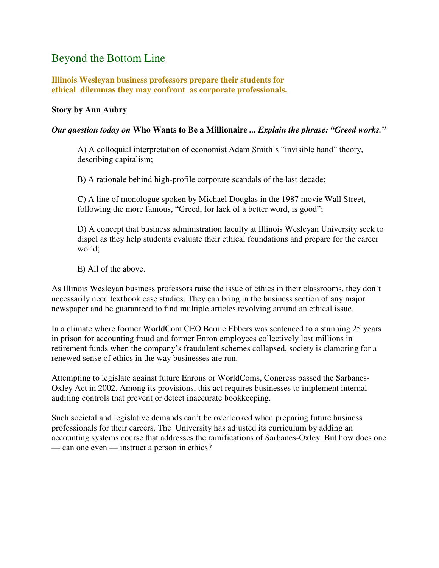### Beyond the Bottom Line

**Illinois Wesleyan business professors prepare their students for ethical dilemmas they may confront as corporate professionals.** 

### **Story by Ann Aubry**

#### *Our question today on* **Who Wants to Be a Millionaire** *... Explain the phrase: "Greed works."*

A) A colloquial interpretation of economist Adam Smith's "invisible hand" theory, describing capitalism;

B) A rationale behind high-profile corporate scandals of the last decade;

C) A line of monologue spoken by Michael Douglas in the 1987 movie Wall Street, following the more famous, "Greed, for lack of a better word, is good";

D) A concept that business administration faculty at Illinois Wesleyan University seek to dispel as they help students evaluate their ethical foundations and prepare for the career world;

E) All of the above.

As Illinois Wesleyan business professors raise the issue of ethics in their classrooms, they don't necessarily need textbook case studies. They can bring in the business section of any major newspaper and be guaranteed to find multiple articles revolving around an ethical issue.

In a climate where former WorldCom CEO Bernie Ebbers was sentenced to a stunning 25 years in prison for accounting fraud and former Enron employees collectively lost millions in retirement funds when the company's fraudulent schemes collapsed, society is clamoring for a renewed sense of ethics in the way businesses are run.

Attempting to legislate against future Enrons or WorldComs, Congress passed the Sarbanes-Oxley Act in 2002. Among its provisions, this act requires businesses to implement internal auditing controls that prevent or detect inaccurate bookkeeping.

Such societal and legislative demands can't be overlooked when preparing future business professionals for their careers. The University has adjusted its curriculum by adding an accounting systems course that addresses the ramifications of Sarbanes-Oxley. But how does one — can one even — instruct a person in ethics?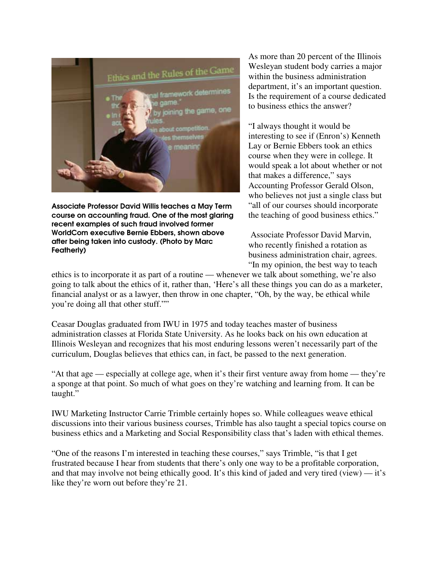

Associate Professor David Willis teaches a May Term course on accounting fraud. One of the most glaring recent examples of such fraud involved former WorldCom executive Bernie Ebbers, shown above after being taken into custody. (Photo by Marc Featherly)

As more than 20 percent of the Illinois Wesleyan student body carries a major within the business administration department, it's an important question. Is the requirement of a course dedicated to business ethics the answer?

"I always thought it would be interesting to see if (Enron's) Kenneth Lay or Bernie Ebbers took an ethics course when they were in college. It would speak a lot about whether or not that makes a difference," says Accounting Professor Gerald Olson, who believes not just a single class but "all of our courses should incorporate the teaching of good business ethics."

 Associate Professor David Marvin, who recently finished a rotation as business administration chair, agrees. "In my opinion, the best way to teach

ethics is to incorporate it as part of a routine — whenever we talk about something, we're also going to talk about the ethics of it, rather than, 'Here's all these things you can do as a marketer, financial analyst or as a lawyer, then throw in one chapter, "Oh, by the way, be ethical while you're doing all that other stuff.""

Ceasar Douglas graduated from IWU in 1975 and today teaches master of business administration classes at Florida State University. As he looks back on his own education at Illinois Wesleyan and recognizes that his most enduring lessons weren't necessarily part of the curriculum, Douglas believes that ethics can, in fact, be passed to the next generation.

"At that age — especially at college age, when it's their first venture away from home — they're a sponge at that point. So much of what goes on they're watching and learning from. It can be taught."

IWU Marketing Instructor Carrie Trimble certainly hopes so. While colleagues weave ethical discussions into their various business courses, Trimble has also taught a special topics course on business ethics and a Marketing and Social Responsibility class that's laden with ethical themes.

"One of the reasons I'm interested in teaching these courses," says Trimble, "is that I get frustrated because I hear from students that there's only one way to be a profitable corporation, and that may involve not being ethically good. It's this kind of jaded and very tired (view) — it's like they're worn out before they're 21.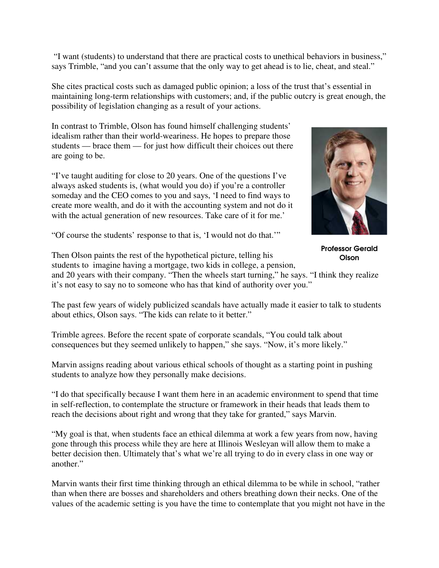"I want (students) to understand that there are practical costs to unethical behaviors in business," says Trimble, "and you can't assume that the only way to get ahead is to lie, cheat, and steal."

She cites practical costs such as damaged public opinion; a loss of the trust that's essential in maintaining long-term relationships with customers; and, if the public outcry is great enough, the possibility of legislation changing as a result of your actions.

In contrast to Trimble, Olson has found himself challenging students' idealism rather than their world-weariness. He hopes to prepare those students — brace them — for just how difficult their choices out there are going to be.

"I've taught auditing for close to 20 years. One of the questions I've always asked students is, (what would you do) if you're a controller someday and the CEO comes to you and says, 'I need to find ways to create more wealth, and do it with the accounting system and not do it with the actual generation of new resources. Take care of it for me.'



Professor Gerald **Olson** 

"Of course the students' response to that is, 'I would not do that.'"

Then Olson paints the rest of the hypothetical picture, telling his students to imagine having a mortgage, two kids in college, a pension, and 20 years with their company. "Then the wheels start turning," he says. "I think they realize

it's not easy to say no to someone who has that kind of authority over you."

The past few years of widely publicized scandals have actually made it easier to talk to students about ethics, Olson says. "The kids can relate to it better."

Trimble agrees. Before the recent spate of corporate scandals, "You could talk about consequences but they seemed unlikely to happen," she says. "Now, it's more likely."

Marvin assigns reading about various ethical schools of thought as a starting point in pushing students to analyze how they personally make decisions.

"I do that specifically because I want them here in an academic environment to spend that time in self-reflection, to contemplate the structure or framework in their heads that leads them to reach the decisions about right and wrong that they take for granted," says Marvin.

"My goal is that, when students face an ethical dilemma at work a few years from now, having gone through this process while they are here at Illinois Wesleyan will allow them to make a better decision then. Ultimately that's what we're all trying to do in every class in one way or another."

Marvin wants their first time thinking through an ethical dilemma to be while in school, "rather than when there are bosses and shareholders and others breathing down their necks. One of the values of the academic setting is you have the time to contemplate that you might not have in the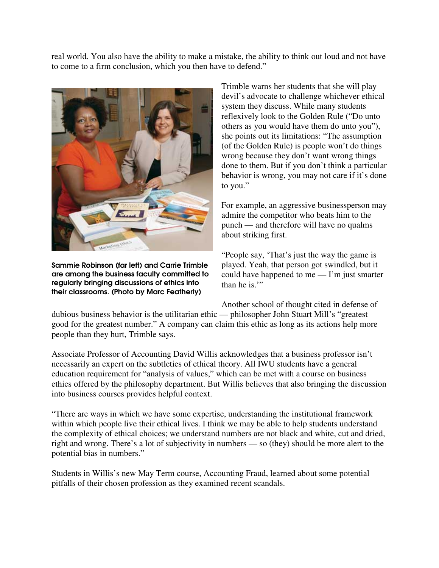real world. You also have the ability to make a mistake, the ability to think out loud and not have to come to a firm conclusion, which you then have to defend."



Sammie Robinson (far left) and Carrie Trimble are among the business faculty committed to regularly bringing discussions of ethics into their classrooms. (Photo by Marc Featherly)

Trimble warns her students that she will play devil's advocate to challenge whichever ethical system they discuss. While many students reflexively look to the Golden Rule ("Do unto others as you would have them do unto you"), she points out its limitations: "The assumption (of the Golden Rule) is people won't do things wrong because they don't want wrong things done to them. But if you don't think a particular behavior is wrong, you may not care if it's done to you."

For example, an aggressive businessperson may admire the competitor who beats him to the punch — and therefore will have no qualms about striking first.

"People say, 'That's just the way the game is played. Yeah, that person got swindled, but it could have happened to me — I'm just smarter than he is."

Another school of thought cited in defense of

dubious business behavior is the utilitarian ethic — philosopher John Stuart Mill's "greatest good for the greatest number." A company can claim this ethic as long as its actions help more people than they hurt, Trimble says.

Associate Professor of Accounting David Willis acknowledges that a business professor isn't necessarily an expert on the subtleties of ethical theory. All IWU students have a general education requirement for "analysis of values," which can be met with a course on business ethics offered by the philosophy department. But Willis believes that also bringing the discussion into business courses provides helpful context.

"There are ways in which we have some expertise, understanding the institutional framework within which people live their ethical lives. I think we may be able to help students understand the complexity of ethical choices; we understand numbers are not black and white, cut and dried, right and wrong. There's a lot of subjectivity in numbers — so (they) should be more alert to the potential bias in numbers."

Students in Willis's new May Term course, Accounting Fraud, learned about some potential pitfalls of their chosen profession as they examined recent scandals.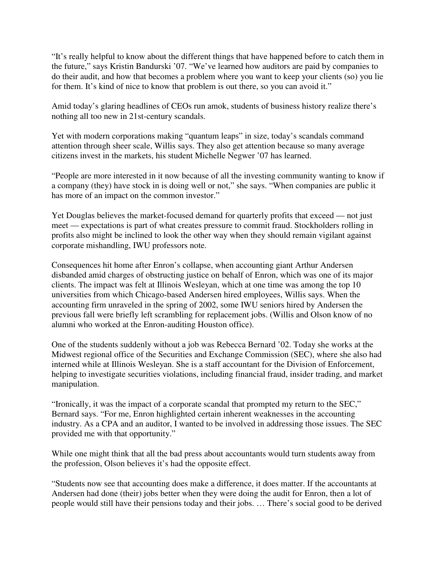"It's really helpful to know about the different things that have happened before to catch them in the future," says Kristin Bandurski '07. "We've learned how auditors are paid by companies to do their audit, and how that becomes a problem where you want to keep your clients (so) you lie for them. It's kind of nice to know that problem is out there, so you can avoid it."

Amid today's glaring headlines of CEOs run amok, students of business history realize there's nothing all too new in 21st-century scandals.

Yet with modern corporations making "quantum leaps" in size, today's scandals command attention through sheer scale, Willis says. They also get attention because so many average citizens invest in the markets, his student Michelle Negwer '07 has learned.

"People are more interested in it now because of all the investing community wanting to know if a company (they) have stock in is doing well or not," she says. "When companies are public it has more of an impact on the common investor."

Yet Douglas believes the market-focused demand for quarterly profits that exceed — not just meet — expectations is part of what creates pressure to commit fraud. Stockholders rolling in profits also might be inclined to look the other way when they should remain vigilant against corporate mishandling, IWU professors note.

Consequences hit home after Enron's collapse, when accounting giant Arthur Andersen disbanded amid charges of obstructing justice on behalf of Enron, which was one of its major clients. The impact was felt at Illinois Wesleyan, which at one time was among the top 10 universities from which Chicago-based Andersen hired employees, Willis says. When the accounting firm unraveled in the spring of 2002, some IWU seniors hired by Andersen the previous fall were briefly left scrambling for replacement jobs. (Willis and Olson know of no alumni who worked at the Enron-auditing Houston office).

One of the students suddenly without a job was Rebecca Bernard '02. Today she works at the Midwest regional office of the Securities and Exchange Commission (SEC), where she also had interned while at Illinois Wesleyan. She is a staff accountant for the Division of Enforcement, helping to investigate securities violations, including financial fraud, insider trading, and market manipulation.

"Ironically, it was the impact of a corporate scandal that prompted my return to the SEC," Bernard says. "For me, Enron highlighted certain inherent weaknesses in the accounting industry. As a CPA and an auditor, I wanted to be involved in addressing those issues. The SEC provided me with that opportunity."

While one might think that all the bad press about accountants would turn students away from the profession, Olson believes it's had the opposite effect.

"Students now see that accounting does make a difference, it does matter. If the accountants at Andersen had done (their) jobs better when they were doing the audit for Enron, then a lot of people would still have their pensions today and their jobs. … There's social good to be derived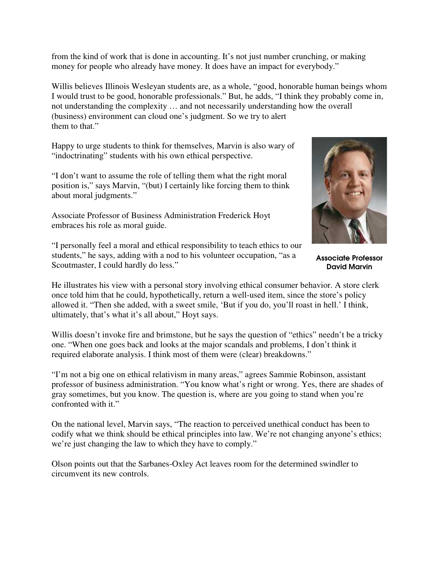from the kind of work that is done in accounting. It's not just number crunching, or making money for people who already have money. It does have an impact for everybody."

Willis believes Illinois Wesleyan students are, as a whole, "good, honorable human beings whom I would trust to be good, honorable professionals." But, he adds, "I think they probably come in, not understanding the complexity … and not necessarily understanding how the overall (business) environment can cloud one's judgment. So we try to alert them to that."

Happy to urge students to think for themselves, Marvin is also wary of "indoctrinating" students with his own ethical perspective.

"I don't want to assume the role of telling them what the right moral position is," says Marvin, "(but) I certainly like forcing them to think about moral judgments."

Associate Professor of Business Administration Frederick Hoyt embraces his role as moral guide.



Associate Professor David Marvin

"I personally feel a moral and ethical responsibility to teach ethics to our students," he says, adding with a nod to his volunteer occupation, "as a Scoutmaster, I could hardly do less."

He illustrates his view with a personal story involving ethical consumer behavior. A store clerk once told him that he could, hypothetically, return a well-used item, since the store's policy allowed it. "Then she added, with a sweet smile, 'But if you do, you'll roast in hell.' I think, ultimately, that's what it's all about," Hoyt says.

Willis doesn't invoke fire and brimstone, but he says the question of "ethics" needn't be a tricky one. "When one goes back and looks at the major scandals and problems, I don't think it required elaborate analysis. I think most of them were (clear) breakdowns."

"I'm not a big one on ethical relativism in many areas," agrees Sammie Robinson, assistant professor of business administration. "You know what's right or wrong. Yes, there are shades of gray sometimes, but you know. The question is, where are you going to stand when you're confronted with it."

On the national level, Marvin says, "The reaction to perceived unethical conduct has been to codify what we think should be ethical principles into law. We're not changing anyone's ethics; we're just changing the law to which they have to comply."

Olson points out that the Sarbanes-Oxley Act leaves room for the determined swindler to circumvent its new controls.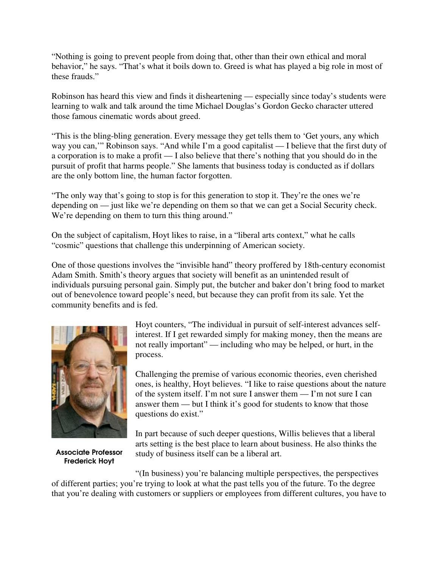"Nothing is going to prevent people from doing that, other than their own ethical and moral behavior," he says. "That's what it boils down to. Greed is what has played a big role in most of these frauds."

Robinson has heard this view and finds it disheartening — especially since today's students were learning to walk and talk around the time Michael Douglas's Gordon Gecko character uttered those famous cinematic words about greed.

"This is the bling-bling generation. Every message they get tells them to 'Get yours, any which way you can,'" Robinson says. "And while I'm a good capitalist — I believe that the first duty of a corporation is to make a profit — I also believe that there's nothing that you should do in the pursuit of profit that harms people." She laments that business today is conducted as if dollars are the only bottom line, the human factor forgotten.

"The only way that's going to stop is for this generation to stop it. They're the ones we're depending on — just like we're depending on them so that we can get a Social Security check. We're depending on them to turn this thing around."

On the subject of capitalism, Hoyt likes to raise, in a "liberal arts context," what he calls "cosmic" questions that challenge this underpinning of American society.

One of those questions involves the "invisible hand" theory proffered by 18th-century economist Adam Smith. Smith's theory argues that society will benefit as an unintended result of individuals pursuing personal gain. Simply put, the butcher and baker don't bring food to market out of benevolence toward people's need, but because they can profit from its sale. Yet the community benefits and is fed.



Associate Professor Frederick Hoyt

Hoyt counters, "The individual in pursuit of self-interest advances selfinterest. If I get rewarded simply for making money, then the means are not really important" — including who may be helped, or hurt, in the process.

Challenging the premise of various economic theories, even cherished ones, is healthy, Hoyt believes. "I like to raise questions about the nature of the system itself. I'm not sure I answer them — I'm not sure I can answer them — but I think it's good for students to know that those questions do exist."

In part because of such deeper questions, Willis believes that a liberal arts setting is the best place to learn about business. He also thinks the study of business itself can be a liberal art.

"(In business) you're balancing multiple perspectives, the perspectives of different parties; you're trying to look at what the past tells you of the future. To the degree that you're dealing with customers or suppliers or employees from different cultures, you have to